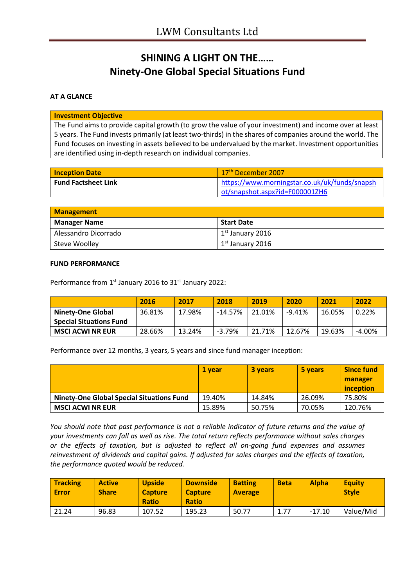# **SHINING A LIGHT ON THE…… Ninety-One Global Special Situations Fund**

### **AT A GLANCE**

#### **Investment Objective**

The Fund aims to provide capital growth (to grow the value of your investment) and income over at least 5 years. The Fund invests primarily (at least two-thirds) in the shares of companies around the world. The Fund focuses on investing in assets believed to be undervalued by the market. Investment opportunities are identified using in-depth research on individual companies.

| <b>Inception Date</b>      | 17 <sup>th</sup> December 2007                |
|----------------------------|-----------------------------------------------|
| <b>Fund Factsheet Link</b> | https://www.morningstar.co.uk/uk/funds/snapsh |
|                            | ot/snapshot.aspx?id=F000001ZH6                |

| <b>Management</b>    |                                      |  |
|----------------------|--------------------------------------|--|
| <b>Manager Name</b>  | Start Date                           |  |
| Alessandro Dicorrado | $\vert$ 1 <sup>st</sup> January 2016 |  |
| <b>Steve Woolley</b> | $1st$ January 2016                   |  |

#### **FUND PERFORMANCE**

Performance from 1<sup>st</sup> January 2016 to 31<sup>st</sup> January 2022:

|                                | 2016   | 2017   | 2018      | 2019   | 2020     | 2021   | 2022      |
|--------------------------------|--------|--------|-----------|--------|----------|--------|-----------|
| <b>Ninety-One Global</b>       | 36.81% | 17.98% | $-14.57%$ | 21.01% | $-9.41%$ | 16.05% | 0.22%     |
| <b>Special Situations Fund</b> |        |        |           |        |          |        |           |
| <b>MSCI ACWI NR EUR</b>        | 28.66% | 13.24% | $-3.79%$  | 21.71% | 12.67%   | 19.63% | $-4.00\%$ |

Performance over 12 months, 3 years, 5 years and since fund manager inception:

|                                                  | 1 vear | 3 years | 5 years | <b>Since fund</b><br>manager<br>inception |
|--------------------------------------------------|--------|---------|---------|-------------------------------------------|
| <b>Ninety-One Global Special Situations Fund</b> | 19.40% | 14.84%  | 26.09%  | 75.80%                                    |
| <b>MSCI ACWI NR EUR</b>                          | 15.89% | 50.75%  | 70.05%  | 120.76%                                   |

*You should note that past performance is not a reliable indicator of future returns and the value of your investments can fall as well as rise. The total return reflects performance without sales charges or the effects of taxation, but is adjusted to reflect all on-going fund expenses and assumes reinvestment of dividends and capital gains. If adjusted for sales charges and the effects of taxation, the performance quoted would be reduced.*

| <b>Tracking</b><br>Error | <b>Active</b><br><b>Share</b> | <b>Upside</b><br><b>Capture</b><br><b>Ratio</b> | <b>Downside</b><br><b>Capture</b><br><b>Ratio</b> | <b>Batting</b><br><b>Average</b> | <b>Beta</b> | <b>Alpha</b> | <b>Equity</b><br><b>Style</b> |
|--------------------------|-------------------------------|-------------------------------------------------|---------------------------------------------------|----------------------------------|-------------|--------------|-------------------------------|
| 21.24                    | 96.83                         | 107.52                                          | 195.23                                            | 50.77                            | 1.77        | $-17.10$     | Value/Mid                     |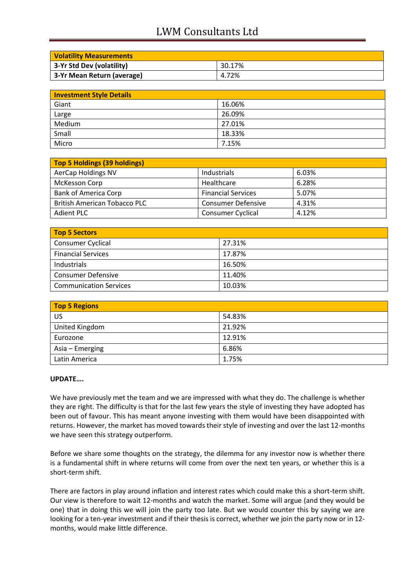## LWM Consultants Ltd

| <b>Volatility Measurements</b> |        |
|--------------------------------|--------|
| 3-Yr Std Dev (volatility)      | 30.17% |
| 3-Yr Mean Return (average)     | 4.72%  |

| <b>Investment Style Details</b> |        |
|---------------------------------|--------|
| Giant                           | 16.06% |
| Large                           | 26.09% |
| Medium                          | 27.01% |
| Small                           | 18.33% |
| Micro                           | 7.15%  |

| Top 5 Holdings (39 holdings)        |                           |       |
|-------------------------------------|---------------------------|-------|
| AerCap Holdings NV                  | Industrials               | 6.03% |
| McKesson Corp                       | Healthcare                | 6.28% |
| <b>Bank of America Corp</b>         | <b>Financial Services</b> | 5.07% |
| <b>British American Tobacco PLC</b> | <b>Consumer Defensive</b> | 4.31% |
| <b>Adient PLC</b>                   | <b>Consumer Cyclical</b>  | 4.12% |

| Top 5 Sectors                 |        |
|-------------------------------|--------|
| <b>Consumer Cyclical</b>      | 27.31% |
| <b>Financial Services</b>     | 17.87% |
| Industrials                   | 16.50% |
| <b>Consumer Defensive</b>     | 11.40% |
| <b>Communication Services</b> | 10.03% |

| <b>Top 5 Regions</b> |        |
|----------------------|--------|
| US                   | 54.83% |
| United Kingdom       | 21.92% |
| Eurozone             | 12.91% |
| Asia – Emerging      | 6.86%  |
| Latin America        | 1.75%  |

#### **UPDATE….**

We have previously met the team and we are impressed with what they do. The challenge is whether they are right. The difficulty is that for the last few years the style of investing they have adopted has been out of favour. This has meant anyone investing with them would have been disappointed with returns. However, the market has moved towards their style of investing and over the last 12-months we have seen this strategy outperform.

Before we share some thoughts on the strategy, the dilemma for any investor now is whether there is a fundamental shift in where returns will come from over the next ten years, or whether this is a short-term shift.

There are factors in play around inflation and interest rates which could make this a short-term shift. Our view is therefore to wait 12-months and watch the market. Some will argue (and they would be one) that in doing this we will join the party too late. But we would counter this by saying we are looking for a ten-year investment and if their thesis is correct, whether we join the party now or in 12months, would make little difference.